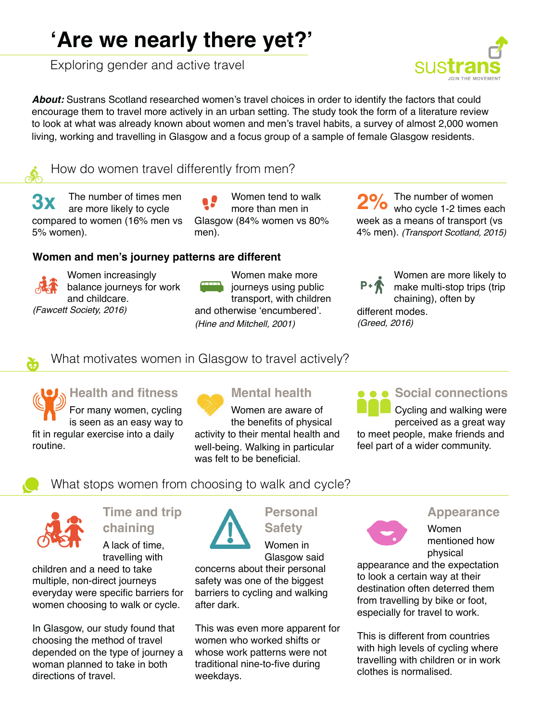# **'Are we nearly there yet?'**

Exploring gender and active travel

*About:* Sustrans Scotland researched women's travel choices in order to identify the factors that could encourage them to travel more actively in an urban setting. The study took the form of a literature review to look at what was already known about women and men's travel habits, a survey of almost 2,000 women living, working and travelling in Glasgow and a focus group of a sample of female Glasgow residents.

How do women travel differently from men?

The number of times men are more likely to cycle compared to women (16% men vs 5% women). **3x** The number of times men **1999** Women tend to walk **29** The number of women are more likely to cycle **1.2** The number of women more than men in

Women tend to walk more than men in Glasgow (84% women vs 80% men).

#### **Women and men's journey patterns are different**

Women increasingly balance journeys for work and childcare. *(Fawcett Society, 2016)*

Women make more journeys using public transport, with children and otherwise 'encumbered'. *(Hine and Mitchell, 2001)*

## who cycle 1-2 times each week as a means of transport (vs 4% men). *(Transport Scotland, 2015)*

Women are more likely to make multi-stop trips (trip

chaining), often by different modes. *(Greed, 2016)*

What motivates women in Glasgow to travel actively?

**Health and fitness** For many women, cycling is seen as an easy way to fit in regular exercise into a daily routine.

# **Mental health**

Women are aware of the benefits of physical activity to their mental health and well-being. Walking in particular was felt to be beneficial.

# $\bullet$  **Social connections**

Cycling and walking were perceived as a great way to meet people, make friends and feel part of a wider community.

What stops women from choosing to walk and cycle?



# **Time and trip**

**chaining** A lack of time, travelling with

children and a need to take multiple, non-direct journeys everyday were specific barriers for women choosing to walk or cycle.

In Glasgow, our study found that choosing the method of travel depended on the type of journey a woman planned to take in both directions of travel.



# **Personal**

**Safety** Women in Glasgow said

concerns about their personal safety was one of the biggest barriers to cycling and walking after dark.

This was even more apparent for women who worked shifts or whose work patterns were not traditional nine-to-five during weekdays.

#### **Appearance**



Women mentioned how

physical appearance and the expectation to look a certain way at their destination often deterred them from travelling by bike or foot, especially for travel to work.

This is different from countries with high levels of cycling where travelling with children or in work clothes is normalised.